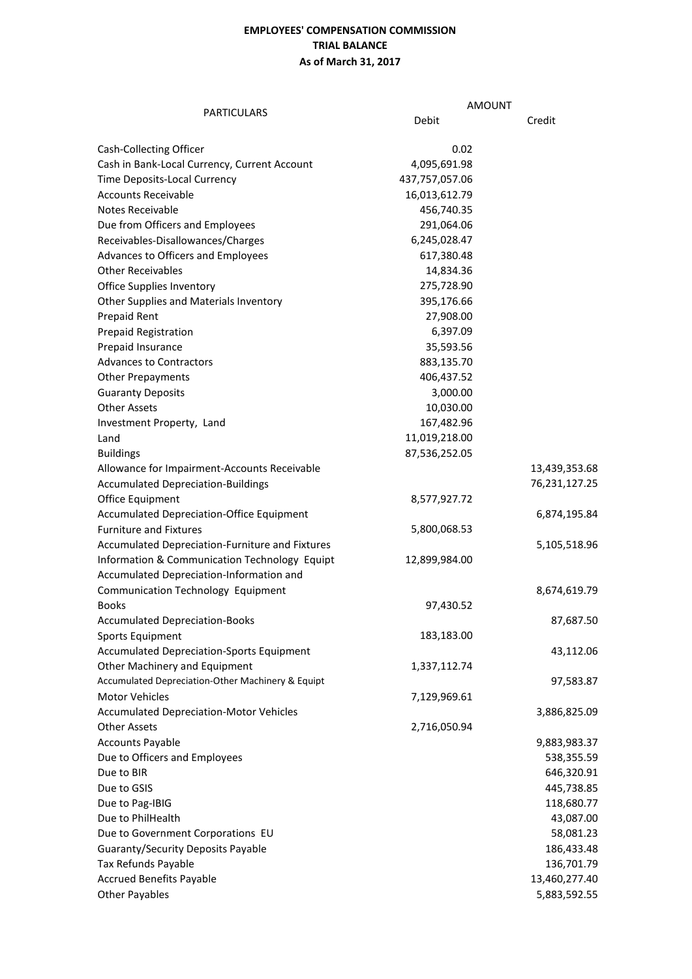## **EMPLOYEES' COMPENSATION COMMISSION TRIAL BALANCE As of March 31, 2017**

|                                                   | <b>AMOUNT</b>  |               |
|---------------------------------------------------|----------------|---------------|
| <b>PARTICULARS</b>                                | Debit          | Credit        |
| Cash-Collecting Officer                           | 0.02           |               |
| Cash in Bank-Local Currency, Current Account      | 4,095,691.98   |               |
| Time Deposits-Local Currency                      | 437,757,057.06 |               |
| <b>Accounts Receivable</b>                        | 16,013,612.79  |               |
| Notes Receivable                                  | 456,740.35     |               |
| Due from Officers and Employees                   | 291,064.06     |               |
| Receivables-Disallowances/Charges                 | 6,245,028.47   |               |
| Advances to Officers and Employees                | 617,380.48     |               |
| <b>Other Receivables</b>                          | 14,834.36      |               |
| Office Supplies Inventory                         | 275,728.90     |               |
| Other Supplies and Materials Inventory            | 395,176.66     |               |
| <b>Prepaid Rent</b>                               | 27,908.00      |               |
| <b>Prepaid Registration</b>                       | 6,397.09       |               |
| Prepaid Insurance                                 | 35,593.56      |               |
| <b>Advances to Contractors</b>                    | 883,135.70     |               |
| <b>Other Prepayments</b>                          | 406,437.52     |               |
| <b>Guaranty Deposits</b>                          | 3,000.00       |               |
| <b>Other Assets</b>                               | 10,030.00      |               |
| Investment Property, Land                         | 167,482.96     |               |
| Land                                              | 11,019,218.00  |               |
| <b>Buildings</b>                                  | 87,536,252.05  |               |
| Allowance for Impairment-Accounts Receivable      |                | 13,439,353.68 |
| <b>Accumulated Depreciation-Buildings</b>         |                | 76,231,127.25 |
| Office Equipment                                  | 8,577,927.72   |               |
| Accumulated Depreciation-Office Equipment         |                | 6,874,195.84  |
| <b>Furniture and Fixtures</b>                     | 5,800,068.53   |               |
| Accumulated Depreciation-Furniture and Fixtures   |                | 5,105,518.96  |
| Information & Communication Technology Equipt     | 12,899,984.00  |               |
| Accumulated Depreciation-Information and          |                |               |
| Communication Technology Equipment                |                | 8,674,619.79  |
| <b>Books</b>                                      | 97,430.52      |               |
| <b>Accumulated Depreciation-Books</b>             |                | 87,687.50     |
| Sports Equipment                                  | 183,183.00     |               |
| Accumulated Depreciation-Sports Equipment         |                | 43,112.06     |
| Other Machinery and Equipment                     | 1,337,112.74   |               |
| Accumulated Depreciation-Other Machinery & Equipt |                | 97,583.87     |
| <b>Motor Vehicles</b>                             | 7,129,969.61   |               |
| <b>Accumulated Depreciation-Motor Vehicles</b>    |                | 3,886,825.09  |
| <b>Other Assets</b>                               | 2,716,050.94   |               |
| <b>Accounts Payable</b>                           |                | 9,883,983.37  |
| Due to Officers and Employees                     |                | 538,355.59    |
| Due to BIR                                        |                | 646,320.91    |
| Due to GSIS                                       |                | 445,738.85    |
| Due to Pag-IBIG                                   |                | 118,680.77    |
| Due to PhilHealth                                 |                | 43,087.00     |
| Due to Government Corporations EU                 |                | 58,081.23     |
| <b>Guaranty/Security Deposits Payable</b>         |                | 186,433.48    |
| Tax Refunds Payable                               |                | 136,701.79    |
| <b>Accrued Benefits Payable</b>                   |                | 13,460,277.40 |
| <b>Other Payables</b>                             |                | 5,883,592.55  |
|                                                   |                |               |